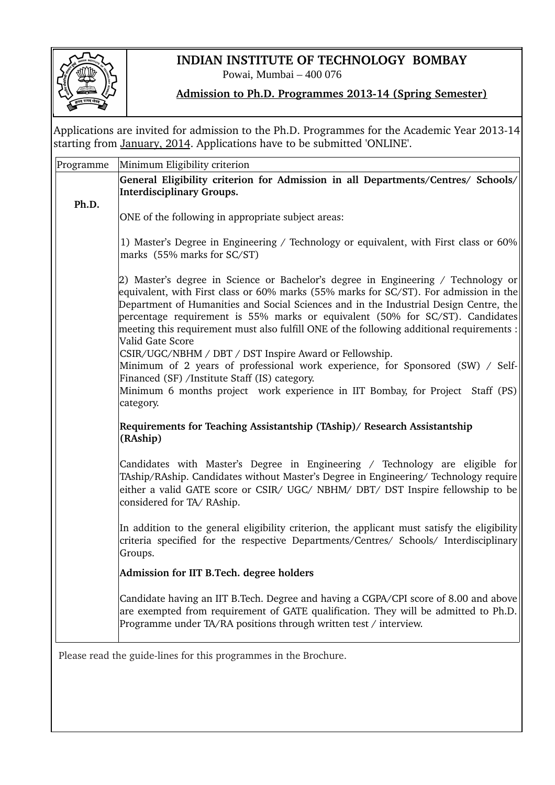

## **INDIAN INSTITUTE OF TECHNOLOGY BOMBAY**

Powai, Mumbai – 400 076

## **Admission to Ph.D. Programmes 2013-14 (Spring Semester)**

Applications are invited for admission to the Ph.D. Programmes for the Academic Year 2013-14 starting from January, 2014. Applications have to be submitted 'ONLINE'.

| Programme                                                        | Minimum Eligibility criterion                                                                                                                                                                                                                                                                                                                                                                                                                                         |  |  |  |  |  |
|------------------------------------------------------------------|-----------------------------------------------------------------------------------------------------------------------------------------------------------------------------------------------------------------------------------------------------------------------------------------------------------------------------------------------------------------------------------------------------------------------------------------------------------------------|--|--|--|--|--|
|                                                                  | General Eligibility criterion for Admission in all Departments/Centres/ Schools/<br><b>Interdisciplinary Groups.</b>                                                                                                                                                                                                                                                                                                                                                  |  |  |  |  |  |
| Ph.D.                                                            | ONE of the following in appropriate subject areas:                                                                                                                                                                                                                                                                                                                                                                                                                    |  |  |  |  |  |
|                                                                  | 1) Master's Degree in Engineering / Technology or equivalent, with First class or 60%<br>marks (55% marks for SC/ST)                                                                                                                                                                                                                                                                                                                                                  |  |  |  |  |  |
|                                                                  | 2) Master's degree in Science or Bachelor's degree in Engineering / Technology or<br>equivalent, with First class or 60% marks (55% marks for SC/ST). For admission in the<br>Department of Humanities and Social Sciences and in the Industrial Design Centre, the<br>percentage requirement is 55% marks or equivalent (50% for SC/ST). Candidates<br>meeting this requirement must also fulfill ONE of the following additional requirements :<br>Valid Gate Score |  |  |  |  |  |
|                                                                  | CSIR/UGC/NBHM / DBT / DST Inspire Award or Fellowship.<br>Minimum of 2 years of professional work experience, for Sponsored (SW) / Self-<br>Financed (SF) /Institute Staff (IS) category.<br>Minimum 6 months project work experience in IIT Bombay, for Project Staff (PS)<br>category.                                                                                                                                                                              |  |  |  |  |  |
|                                                                  | Requirements for Teaching Assistantship (TAship)/ Research Assistantship<br>(RAship)                                                                                                                                                                                                                                                                                                                                                                                  |  |  |  |  |  |
|                                                                  | Candidates with Master's Degree in Engineering / Technology are eligible for<br>TAship/RAship. Candidates without Master's Degree in Engineering/ Technology require<br>either a valid GATE score or CSIR/ UGC/ NBHM/ DBT/ DST Inspire fellowship to be<br>considered for TA/RAship.                                                                                                                                                                                  |  |  |  |  |  |
|                                                                  | In addition to the general eligibility criterion, the applicant must satisfy the eligibility<br>criteria specified for the respective Departments/Centres/ Schools/ Interdisciplinary<br>Groups.                                                                                                                                                                                                                                                                      |  |  |  |  |  |
|                                                                  | Admission for IIT B.Tech. degree holders                                                                                                                                                                                                                                                                                                                                                                                                                              |  |  |  |  |  |
|                                                                  | Candidate having an IIT B.Tech. Degree and having a CGPA/CPI score of 8.00 and above<br>are exempted from requirement of GATE qualification. They will be admitted to Ph.D.<br>Programme under TA/RA positions through written test / interview.                                                                                                                                                                                                                      |  |  |  |  |  |
| Please read the guide-lines for this programmes in the Brochure. |                                                                                                                                                                                                                                                                                                                                                                                                                                                                       |  |  |  |  |  |
|                                                                  |                                                                                                                                                                                                                                                                                                                                                                                                                                                                       |  |  |  |  |  |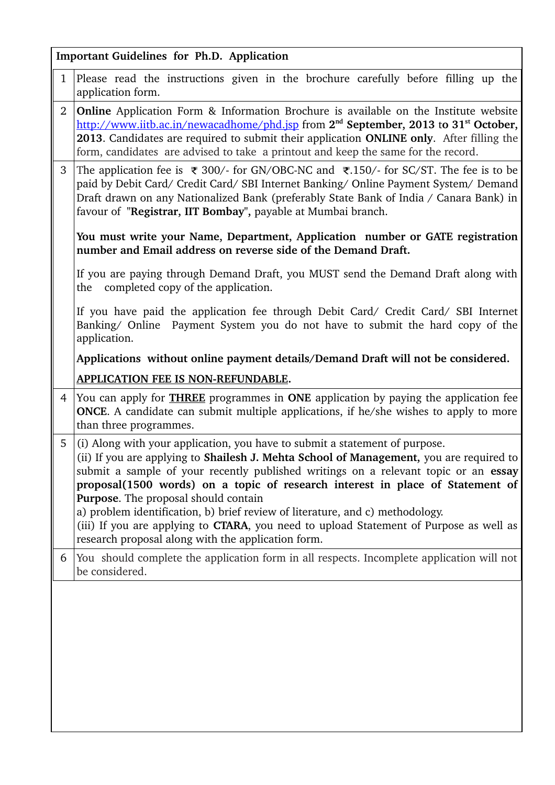| <b>Important Guidelines for Ph.D. Application</b>                                                                                                                                   |                                                                                                                                                                                                                                                                                                                                                                                                                                                                                                                                                                                                                         |  |  |  |  |  |
|-------------------------------------------------------------------------------------------------------------------------------------------------------------------------------------|-------------------------------------------------------------------------------------------------------------------------------------------------------------------------------------------------------------------------------------------------------------------------------------------------------------------------------------------------------------------------------------------------------------------------------------------------------------------------------------------------------------------------------------------------------------------------------------------------------------------------|--|--|--|--|--|
| $\mathbf{1}$                                                                                                                                                                        | Please read the instructions given in the brochure carefully before filling up the<br>application form.                                                                                                                                                                                                                                                                                                                                                                                                                                                                                                                 |  |  |  |  |  |
| $\overline{2}$                                                                                                                                                                      | <b>Online</b> Application Form & Information Brochure is available on the Institute website<br>http://www.iitb.ac.in/newacadhome/phd.jsp from 2 <sup>nd</sup> September, 2013 to 31 <sup>st</sup> October,<br>2013. Candidates are required to submit their application ONLINE only. After filling the<br>form, candidates are advised to take a printout and keep the same for the record.                                                                                                                                                                                                                             |  |  |  |  |  |
| 3                                                                                                                                                                                   | The application fee is ₹ 300/- for GN/OBC-NC and ₹.150/- for SC/ST. The fee is to be<br>paid by Debit Card/ Credit Card/ SBI Internet Banking/ Online Payment System/ Demand<br>Draft drawn on any Nationalized Bank (preferably State Bank of India / Canara Bank) in<br>favour of "Registrar, IIT Bombay", payable at Mumbai branch.                                                                                                                                                                                                                                                                                  |  |  |  |  |  |
| You must write your Name, Department, Application number or GATE registration<br>number and Email address on reverse side of the Demand Draft.                                      |                                                                                                                                                                                                                                                                                                                                                                                                                                                                                                                                                                                                                         |  |  |  |  |  |
|                                                                                                                                                                                     | If you are paying through Demand Draft, you MUST send the Demand Draft along with<br>completed copy of the application.<br>the                                                                                                                                                                                                                                                                                                                                                                                                                                                                                          |  |  |  |  |  |
| If you have paid the application fee through Debit Card/ Credit Card/ SBI Internet<br>Banking/ Online Payment System you do not have to submit the hard copy of the<br>application. |                                                                                                                                                                                                                                                                                                                                                                                                                                                                                                                                                                                                                         |  |  |  |  |  |
|                                                                                                                                                                                     | Applications without online payment details/Demand Draft will not be considered.                                                                                                                                                                                                                                                                                                                                                                                                                                                                                                                                        |  |  |  |  |  |
| APPLICATION FEE IS NON-REFUNDABLE.                                                                                                                                                  |                                                                                                                                                                                                                                                                                                                                                                                                                                                                                                                                                                                                                         |  |  |  |  |  |
| $\overline{4}$                                                                                                                                                                      | You can apply for <b>THREE</b> programmes in <b>ONE</b> application by paying the application fee<br><b>ONCE.</b> A candidate can submit multiple applications, if he/she wishes to apply to more<br>than three programmes.                                                                                                                                                                                                                                                                                                                                                                                             |  |  |  |  |  |
| 5                                                                                                                                                                                   | (i) Along with your application, you have to submit a statement of purpose.<br>(ii) If you are applying to Shailesh J. Mehta School of Management, you are required to<br>submit a sample of your recently published writings on a relevant topic or an essay<br>proposal(1500 words) on a topic of research interest in place of Statement of<br>Purpose. The proposal should contain<br>a) problem identification, b) brief review of literature, and c) methodology.<br>(iii) If you are applying to CTARA, you need to upload Statement of Purpose as well as<br>research proposal along with the application form. |  |  |  |  |  |
| 6                                                                                                                                                                                   | You should complete the application form in all respects. Incomplete application will not<br>be considered.                                                                                                                                                                                                                                                                                                                                                                                                                                                                                                             |  |  |  |  |  |
|                                                                                                                                                                                     |                                                                                                                                                                                                                                                                                                                                                                                                                                                                                                                                                                                                                         |  |  |  |  |  |